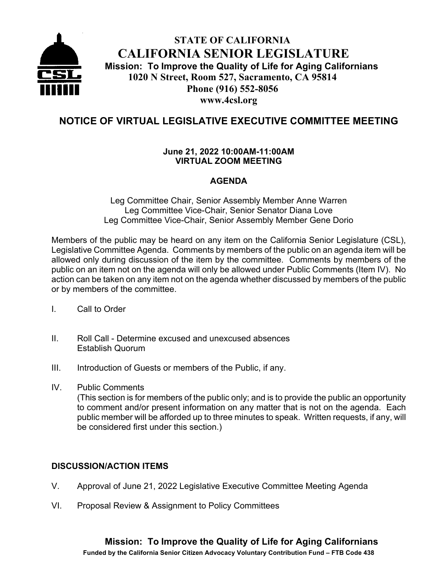

# **STATE OF CALIFORNIA CALIFORNIA SENIOR LEGISLATURE Mission: To Improve the Quality of Life for Aging Californians 1020 N Street, Room 527, Sacramento, CA 95814 Phone (916) 552-8056 www.4csl.org**

# **NOTICE OF VIRTUAL LEGISLATIVE EXECUTIVE COMMITTEE MEETING**

#### **June 21, 2022 10:00AM-11:00AM VIRTUAL ZOOM MEETING**

### **AGENDA**

Leg Committee Chair, Senior Assembly Member Anne Warren Leg Committee Vice-Chair, Senior Senator Diana Love Leg Committee Vice-Chair, Senior Assembly Member Gene Dorio

Members of the public may be heard on any item on the California Senior Legislature (CSL), Legislative Committee Agenda. Comments by members of the public on an agenda item will be allowed only during discussion of the item by the committee. Comments by members of the public on an item not on the agenda will only be allowed under Public Comments (Item IV). No action can be taken on any item not on the agenda whether discussed by members of the public or by members of the committee.

- I. Call to Order
- II. Roll Call Determine excused and unexcused absences Establish Quorum
- III. Introduction of Guests or members of the Public, if any.
- IV. Public Comments

(This section is for members of the public only; and is to provide the public an opportunity to comment and/or present information on any matter that is not on the agenda. Each public member will be afforded up to three minutes to speak. Written requests, if any, will be considered first under this section.)

## **DISCUSSION/ACTION ITEMS**

- V. Approval of June 21, 2022 Legislative Executive Committee Meeting Agenda
- VI. Proposal Review & Assignment to Policy Committees

**Funded by the California Senior Citizen Advocacy Voluntary Contribution Fund – FTB Code 438**